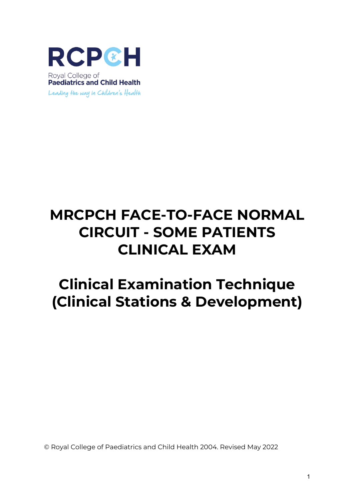

# **MRCPCH FACE-TO-FACE NORMAL CIRCUIT - SOME PATIENTS CLINICAL EXAM**

# **Clinical Examination Technique (Clinical Stations & Development)**

© Royal College of Paediatrics and Child Health 2004. Revised May 2022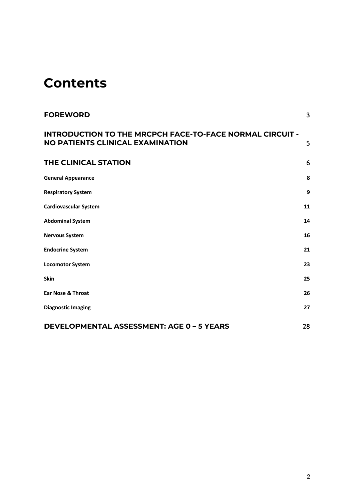# **Contents**

| <b>FOREWORD</b>                                                                                     | $\overline{3}$ |
|-----------------------------------------------------------------------------------------------------|----------------|
| <b>INTRODUCTION TO THE MRCPCH FACE-TO-FACE NORMAL CIRCUIT -</b><br>NO PATIENTS CLINICAL EXAMINATION | 5              |
| <b>THE CLINICAL STATION</b>                                                                         | 6              |
| <b>General Appearance</b>                                                                           | 8              |
| <b>Respiratory System</b>                                                                           | 9              |
| <b>Cardiovascular System</b>                                                                        | 11             |
| <b>Abdominal System</b>                                                                             | 14             |
| <b>Nervous System</b>                                                                               | 16             |
| <b>Endocrine System</b>                                                                             | 21             |
| <b>Locomotor System</b>                                                                             | 23             |
| <b>Skin</b>                                                                                         | 25             |
| <b>Ear Nose &amp; Throat</b>                                                                        | 26             |
| <b>Diagnostic Imaging</b>                                                                           | 27             |
| <b>DEVELOPMENTAL ASSESSMENT: AGE 0 - 5 YEARS</b>                                                    | 28             |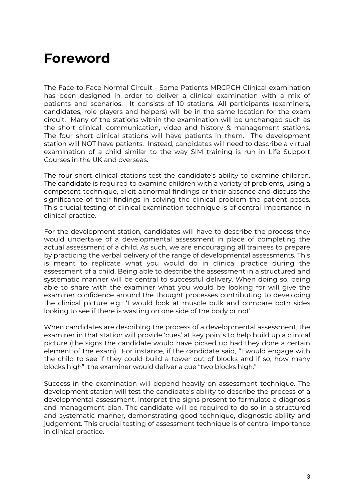# **Foreword**

The Face-to-Face Normal Circuit - Some Patients MRCPCH Clinical examination has been designed in order to deliver a clinical examination with a mix of patients and scenarios. It consists of 10 stations. All participants (examiners, candidates, role players and helpers) will be in the same location for the exam circuit. Many of the stations within the examination will be unchanged such as the short clinical, communication, video and history & management stations. The four short clinical stations will have patients in them. The development station will NOT have patients. Instead, candidates will need to describe a virtual examination of a child similar to the way SIM training is run in Life Support Courses in the UK and overseas.

The four short clinical stations test the candidate's ability to examine children. The candidate is required to examine children with a variety of problems, using a competent technique, elicit abnormal findings or their absence and discuss the significance of their findings in solving the clinical problem the patient poses. This crucial testing of clinical examination technique is of central importance in clinical practice.

For the development station, candidates will have to describe the process they would undertake of a developmental assessment in place of completing the actual assessment of a child. As such, we are encouraging all trainees to prepare by practicing the verbal delivery of the range of developmental assessments. This is meant to replicate what you would do in clinical practice during the assessment of a child. Being able to describe the assessment in a structured and systematic manner will be central to successful delivery. When doing so, being able to share with the examiner what you would be looking for will give the examiner confidence around the thought processes contributing to developing the clinical picture e.g.: 'I would look at muscle bulk and compare both sides looking to see if there is wasting on one side of the body or not'.

When candidates are describing the process of a developmental assessment, the examiner in that station will provide 'cues' at key points to help build up a clinical picture (the signs the candidate would have picked up had they done a certain element of the exam). For instance, if the candidate said, "I would engage with the child to see if they could build a tower out of blocks and if so, how many blocks high", the examiner would deliver a cue "two blocks high."

Success in the examination will depend heavily on assessment technique. The development station will test the candidate's ability to describe the process of a developmental assessment, interpret the signs present to formulate a diagnosis and management plan. The candidate will be required to do so in a structured and systematic manner, demonstrating good technique, diagnostic ability and judgement. This crucial testing of assessment technique is of central importance in clinical practice.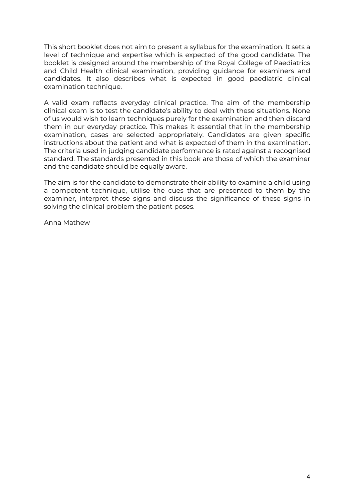This short booklet does not aim to present a syllabus for the examination. It sets a level of technique and expertise which is expected of the good candidate. The booklet is designed around the membership of the Royal College of Paediatrics and Child Health clinical examination, providing guidance for examiners and candidates. It also describes what is expected in good paediatric clinical examination technique.

A valid exam reflects everyday clinical practice. The aim of the membership clinical exam is to test the candidate's ability to deal with these situations. None of us would wish to learn techniques purely for the examination and then discard them in our everyday practice. This makes it essential that in the membership examination, cases are selected appropriately. Candidates are given specific instructions about the patient and what is expected of them in the examination. The criteria used in judging candidate performance is rated against a recognised standard. The standards presented in this book are those of which the examiner and the candidate should be equally aware.

The aim is for the candidate to demonstrate their ability to examine a child using a competent technique, utilise the cues that are presented to them by the examiner, interpret these signs and discuss the significance of these signs in solving the clinical problem the patient poses.

Anna Mathew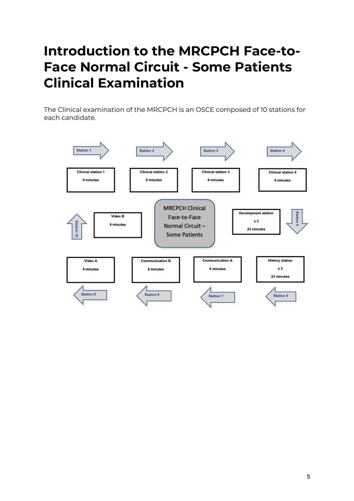# **Introduction to the MRCPCH Face-to-Face Normal Circuit - Some Patients Clinical Examination**

The Clinical examination of the MRCPCH is an OSCE composed of 10 stations for each candidate.

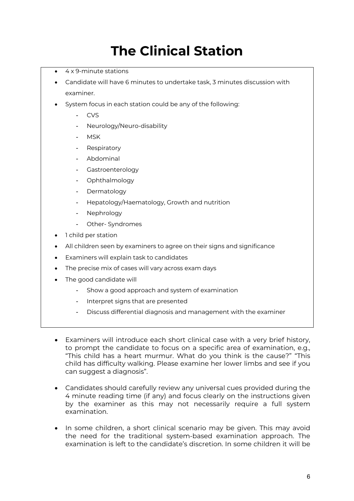# **The Clinical Station**

- 4 x 9-minute stations
- Candidate will have 6 minutes to undertake task, 3 minutes discussion with examiner.
- System focus in each station could be any of the following:
	- CVS
	- Neurology/Neuro-disability
	- MSK
	- Respiratory
	- Abdominal
	- Gastroenterology
	- Ophthalmology
	- Dermatology
	- Hepatology/Haematology, Growth and nutrition
	- **Nephrology**
	- Other- Syndromes
- 1 child per station
- All children seen by examiners to agree on their signs and significance
- Examiners will explain task to candidates
- The precise mix of cases will vary across exam days
- The good candidate will
	- Show a good approach and system of examination
	- Interpret signs that are presented
	- Discuss differential diagnosis and management with the examiner
- Examiners will introduce each short clinical case with a very brief history, to prompt the candidate to focus on a specific area of examination, e.g., "This child has a heart murmur. What do you think is the cause?" "This child has difficulty walking. Please examine her lower limbs and see if you can suggest a diagnosis".
- Candidates should carefully review any universal cues provided during the 4 minute reading time (if any) and focus clearly on the instructions given by the examiner as this may not necessarily require a full system examination.
- In some children, a short clinical scenario may be given. This may avoid the need for the traditional system-based examination approach. The examination is left to the candidate's discretion. In some children it will be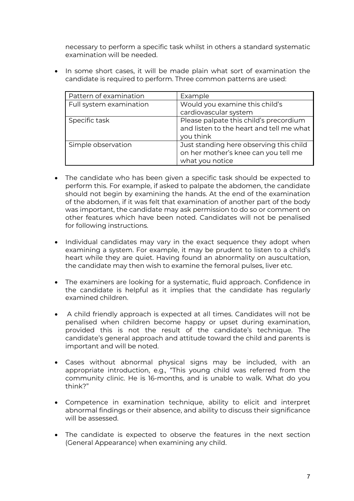necessary to perform a specific task whilst in others a standard systematic examination will be needed.

• In some short cases, it will be made plain what sort of examination the candidate is required to perform. Three common patterns are used:

| Pattern of examination  | Example                                                                                            |
|-------------------------|----------------------------------------------------------------------------------------------------|
| Full system examination | Would you examine this child's                                                                     |
|                         | cardiovascular system                                                                              |
| Specific task           | Please palpate this child's precordium<br>and listen to the heart and tell me what<br>you think    |
| Simple observation      | Just standing here observing this child<br>on her mother's knee can you tell me<br>what you notice |

- The candidate who has been given a specific task should be expected to perform this. For example, if asked to palpate the abdomen, the candidate should not begin by examining the hands. At the end of the examination of the abdomen, if it was felt that examination of another part of the body was important, the candidate may ask permission to do so or comment on other features which have been noted. Candidates will not be penalised for following instructions.
- Individual candidates may vary in the exact sequence they adopt when examining a system. For example, it may be prudent to listen to a child's heart while they are quiet. Having found an abnormality on auscultation, the candidate may then wish to examine the femoral pulses, liver etc.
- The examiners are looking for a systematic, fluid approach. Confidence in the candidate is helpful as it implies that the candidate has regularly examined children.
- A child friendly approach is expected at all times. Candidates will not be penalised when children become happy or upset during examination, provided this is not the result of the candidate's technique. The candidate's general approach and attitude toward the child and parents is important and will be noted.
- Cases without abnormal physical signs may be included, with an appropriate introduction, e.g., "This young child was referred from the community clinic. He is 16-months, and is unable to walk. What do you think?"
- Competence in examination technique, ability to elicit and interpret abnormal findings or their absence, and ability to discuss their significance will be assessed.
- The candidate is expected to observe the features in the next section (General Appearance) when examining any child.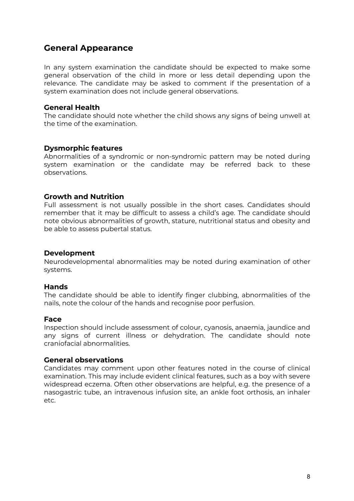# **General Appearance**

In any system examination the candidate should be expected to make some general observation of the child in more or less detail depending upon the relevance. The candidate may be asked to comment if the presentation of a system examination does not include general observations.

#### **General Health**

The candidate should note whether the child shows any signs of being unwell at the time of the examination.

#### **Dysmorphic features**

Abnormalities of a syndromic or non-syndromic pattern may be noted during system examination or the candidate may be referred back to these observations.

# **Growth and Nutrition**

Full assessment is not usually possible in the short cases. Candidates should remember that it may be difficult to assess a child's age. The candidate should note obvious abnormalities of growth, stature, nutritional status and obesity and be able to assess pubertal status.

#### **Development**

Neurodevelopmental abnormalities may be noted during examination of other systems.

#### **Hands**

The candidate should be able to identify finger clubbing, abnormalities of the nails, note the colour of the hands and recognise poor perfusion.

#### **Face**

Inspection should include assessment of colour, cyanosis, anaemia, jaundice and any signs of current illness or dehydration. The candidate should note craniofacial abnormalities.

#### **General observations**

Candidates may comment upon other features noted in the course of clinical examination. This may include evident clinical features, such as a boy with severe widespread eczema. Often other observations are helpful, e.g. the presence of a nasogastric tube, an intravenous infusion site, an ankle foot orthosis, an inhaler etc.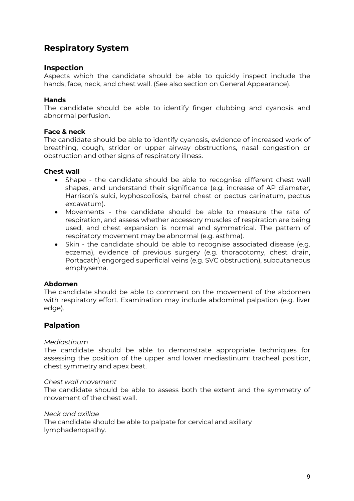# **Respiratory System**

# **Inspection**

Aspects which the candidate should be able to quickly inspect include the hands, face, neck, and chest wall. (See also section on General Appearance).

### **Hands**

The candidate should be able to identify finger clubbing and cyanosis and abnormal perfusion.

#### **Face & neck**

The candidate should be able to identify cyanosis, evidence of increased work of breathing, cough, stridor or upper airway obstructions, nasal congestion or obstruction and other signs of respiratory illness.

#### **Chest wall**

- Shape the candidate should be able to recognise different chest wall shapes, and understand their significance (e.g. increase of AP diameter, Harrison's sulci, kyphoscoliosis, barrel chest or pectus carinatum, pectus excavatum).
- Movements the candidate should be able to measure the rate of respiration, and assess whether accessory muscles of respiration are being used, and chest expansion is normal and symmetrical. The pattern of respiratory movement may be abnormal (e.g. asthma).
- Skin the candidate should be able to recognise associated disease (e.g. eczema), evidence of previous surgery (e.g. thoracotomy, chest drain, Portacath) engorged superficial veins (e.g. SVC obstruction), subcutaneous emphysema.

#### **Abdomen**

The candidate should be able to comment on the movement of the abdomen with respiratory effort. Examination may include abdominal palpation (e.g. liver edge).

# **Palpation**

#### *Mediastinum*

The candidate should be able to demonstrate appropriate techniques for assessing the position of the upper and lower mediastinum: tracheal position, chest symmetry and apex beat.

#### *Chest wall movement*

The candidate should be able to assess both the extent and the symmetry of movement of the chest wall.

*Neck and axillae*

The candidate should be able to palpate for cervical and axillary lymphadenopathy.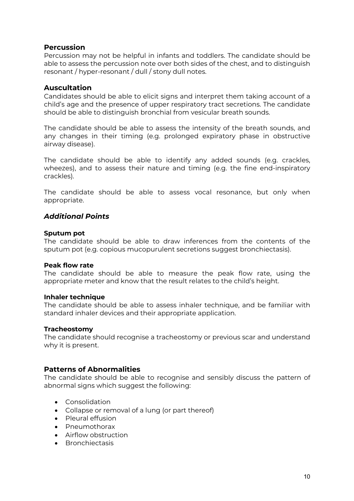# **Percussion**

Percussion may not be helpful in infants and toddlers. The candidate should be able to assess the percussion note over both sides of the chest, and to distinguish resonant / hyper-resonant / dull / stony dull notes.

# **Auscultation**

Candidates should be able to elicit signs and interpret them taking account of a child's age and the presence of upper respiratory tract secretions. The candidate should be able to distinguish bronchial from vesicular breath sounds.

The candidate should be able to assess the intensity of the breath sounds, and any changes in their timing (e.g. prolonged expiratory phase in obstructive airway disease).

The candidate should be able to identify any added sounds (e.g. crackles, wheezes), and to assess their nature and timing (e.g. the fine end-inspiratory crackles).

The candidate should be able to assess vocal resonance, but only when appropriate.

# *Additional Points*

#### **Sputum pot**

The candidate should be able to draw inferences from the contents of the sputum pot (e.g. copious mucopurulent secretions suggest bronchiectasis).

#### **Peak flow rate**

The candidate should be able to measure the peak flow rate, using the appropriate meter and know that the result relates to the child's height.

#### **Inhaler technique**

The candidate should be able to assess inhaler technique, and be familiar with standard inhaler devices and their appropriate application.

#### **Tracheostomy**

The candidate should recognise a tracheostomy or previous scar and understand why it is present.

# **Patterns of Abnormalities**

The candidate should be able to recognise and sensibly discuss the pattern of abnormal signs which suggest the following:

- Consolidation
- Collapse or removal of a lung (or part thereof)
- Pleural effusion
- Pneumothorax
- Airflow obstruction
- Bronchiectasis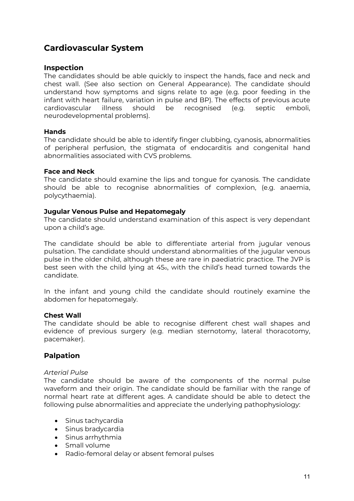# **Cardiovascular System**

# **Inspection**

The candidates should be able quickly to inspect the hands, face and neck and chest wall. (See also section on General Appearance). The candidate should understand how symptoms and signs relate to age (e.g. poor feeding in the infant with heart failure, variation in pulse and BP). The effects of previous acute cardiovascular illness should be recognised (e.g. septic emboli, neurodevelopmental problems).

# **Hands**

The candidate should be able to identify finger clubbing, cyanosis, abnormalities of peripheral perfusion, the stigmata of endocarditis and congenital hand abnormalities associated with CVS problems.

#### **Face and Neck**

The candidate should examine the lips and tongue for cyanosis. The candidate should be able to recognise abnormalities of complexion, (e.g. anaemia, polycythaemia).

#### **Jugular Venous Pulse and Hepatomegaly**

The candidate should understand examination of this aspect is very dependant upon a child's age.

The candidate should be able to differentiate arterial from jugular venous pulsation. The candidate should understand abnormalities of the jugular venous pulse in the older child, although these are rare in paediatric practice. The JVP is best seen with the child lying at 45o, with the child's head turned towards the candidate.

In the infant and young child the candidate should routinely examine the abdomen for hepatomegaly.

#### **Chest Wall**

The candidate should be able to recognise different chest wall shapes and evidence of previous surgery (e.g. median sternotomy, lateral thoracotomy, pacemaker).

# **Palpation**

#### *Arterial Pulse*

The candidate should be aware of the components of the normal pulse waveform and their origin. The candidate should be familiar with the range of normal heart rate at different ages. A candidate should be able to detect the following pulse abnormalities and appreciate the underlying pathophysiology:

- Sinus tachycardia
- Sinus bradycardia
- Sinus arrhythmia
- Small volume
- Radio-femoral delay or absent femoral pulses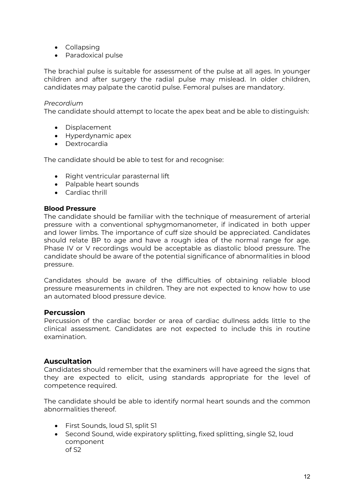- Collapsing
- Paradoxical pulse

The brachial pulse is suitable for assessment of the pulse at all ages. In younger children and after surgery the radial pulse may mislead. In older children, candidates may palpate the carotid pulse. Femoral pulses are mandatory.

#### *Precordium*

The candidate should attempt to locate the apex beat and be able to distinguish:

- Displacement
- Hyperdynamic apex
- Dextrocardia

The candidate should be able to test for and recognise:

- Right ventricular parasternal lift
- Palpable heart sounds
- Cardiac thrill

#### **Blood Pressure**

The candidate should be familiar with the technique of measurement of arterial pressure with a conventional sphygmomanometer, if indicated in both upper and lower limbs. The importance of cuff size should be appreciated. Candidates should relate BP to age and have a rough idea of the normal range for age. Phase IV or V recordings would be acceptable as diastolic blood pressure. The candidate should be aware of the potential significance of abnormalities in blood pressure.

Candidates should be aware of the difficulties of obtaining reliable blood pressure measurements in children. They are not expected to know how to use an automated blood pressure device.

# **Percussion**

Percussion of the cardiac border or area of cardiac dullness adds little to the clinical assessment. Candidates are not expected to include this in routine examination.

# **Auscultation**

Candidates should remember that the examiners will have agreed the signs that they are expected to elicit, using standards appropriate for the level of competence required.

The candidate should be able to identify normal heart sounds and the common abnormalities thereof.

- First Sounds, loud S1, split S1
- Second Sound, wide expiratory splitting, fixed splitting, single S2, loud component of S2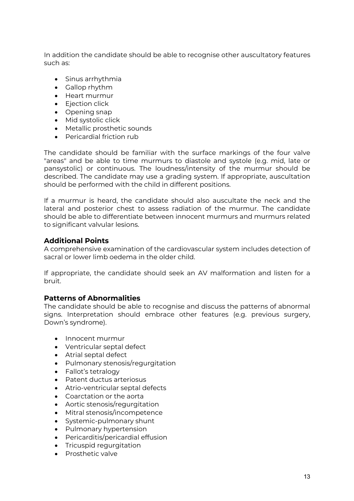In addition the candidate should be able to recognise other auscultatory features such as:

- Sinus arrhythmia
- Gallop rhythm
- Heart murmur
- Ejection click
- Opening snap
- Mid systolic click
- Metallic prosthetic sounds
- Pericardial friction rub

The candidate should be familiar with the surface markings of the four valve "areas" and be able to time murmurs to diastole and systole (e.g. mid, late or pansystolic) or continuous. The loudness/intensity of the murmur should be described. The candidate may use a grading system. If appropriate, auscultation should be performed with the child in different positions.

If a murmur is heard, the candidate should also auscultate the neck and the lateral and posterior chest to assess radiation of the murmur. The candidate should be able to differentiate between innocent murmurs and murmurs related to significant valvular lesions.

# **Additional Points**

A comprehensive examination of the cardiovascular system includes detection of sacral or lower limb oedema in the older child.

If appropriate, the candidate should seek an AV malformation and listen for a bruit.

# **Patterns of Abnormalities**

The candidate should be able to recognise and discuss the patterns of abnormal signs. Interpretation should embrace other features (e.g. previous surgery, Down's syndrome).

- Innocent murmur
- Ventricular septal defect
- Atrial septal defect
- Pulmonary stenosis/regurgitation
- Fallot's tetralogy
- Patent ductus arteriosus
- Atrio-ventricular septal defects
- Coarctation or the aorta
- Aortic stenosis/regurgitation
- Mitral stenosis/incompetence
- Systemic-pulmonary shunt
- Pulmonary hypertension
- Pericarditis/pericardial effusion
- Tricuspid regurgitation
- Prosthetic valve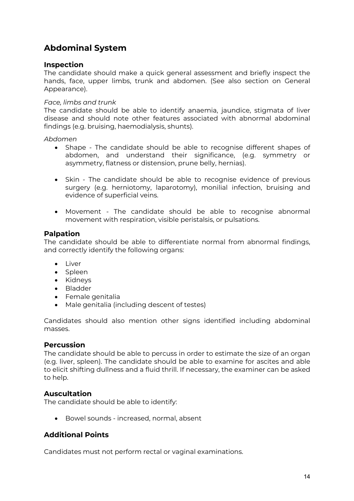# **Abdominal System**

# **Inspection**

The candidate should make a quick general assessment and briefly inspect the hands, face, upper limbs, trunk and abdomen. (See also section on General Appearance).

# *Face, limbs and trunk*

The candidate should be able to identify anaemia, jaundice, stigmata of liver disease and should note other features associated with abnormal abdominal findings (e.g. bruising, haemodialysis, shunts).

*Abdomen*

- Shape The candidate should be able to recognise different shapes of abdomen, and understand their significance, (e.g. symmetry or asymmetry, flatness or distension, prune belly, hernias).
- Skin The candidate should be able to recognise evidence of previous surgery (e.g. herniotomy, laparotomy), monilial infection, bruising and evidence of superficial veins.
- Movement The candidate should be able to recognise abnormal movement with respiration, visible peristalsis, or pulsations.

# **Palpation**

The candidate should be able to differentiate normal from abnormal findings, and correctly identify the following organs:

- Liver
- Spleen
- Kidneys
- Bladder
- Female genitalia
- Male genitalia (including descent of testes)

Candidates should also mention other signs identified including abdominal masses.

# **Percussion**

The candidate should be able to percuss in order to estimate the size of an organ (e.g. liver, spleen). The candidate should be able to examine for ascites and able to elicit shifting dullness and a fluid thrill. If necessary, the examiner can be asked to help.

# **Auscultation**

The candidate should be able to identify:

• Bowel sounds - increased, normal, absent

# **Additional Points**

Candidates must not perform rectal or vaginal examinations.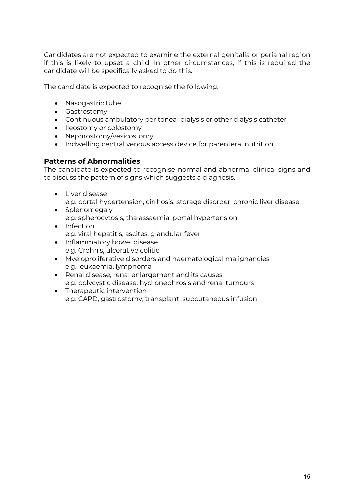Candidates are not expected to examine the external genitalia or perianal region if this is likely to upset a child. In other circumstances, if this is required the candidate will be specifically asked to do this.

The candidate is expected to recognise the following:

- Nasogastric tube
- Gastrostomy
- Continuous ambulatory peritoneal dialysis or other dialysis catheter
- Ileostomy or colostomy
- Nephrostomy/vesicostomy
- Indwelling central venous access device for parenteral nutrition

# **Patterns of Abnormalities**

The candidate is expected to recognise normal and abnormal clinical signs and to discuss the pattern of signs which suggests a diagnosis.

- Liver disease e.g. portal hypertension, cirrhosis, storage disorder, chronic liver disease
- Splenomegaly e.g. spherocytosis, thalassaemia, portal hypertension • Infection
- e.g. viral hepatitis, ascites, glandular fever
- Inflammatory bowel disease e.g. Crohn's, ulcerative colitic
- Myeloproliferative disorders and haematological malignancies e.g. leukaemia, lymphoma
- Renal disease, renal enlargement and its causes e.g. polycystic disease, hydronephrosis and renal tumours
- Therapeutic intervention e.g. CAPD, gastrostomy, transplant, subcutaneous infusion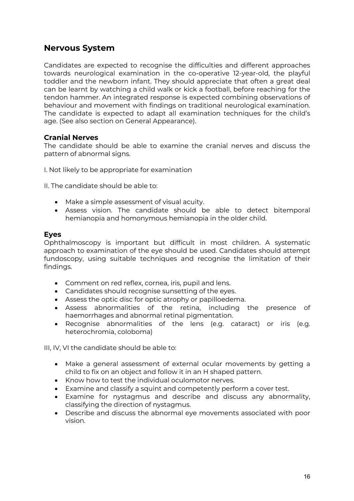# **Nervous System**

Candidates are expected to recognise the difficulties and different approaches towards neurological examination in the co-operative 12-year-old, the playful toddler and the newborn infant. They should appreciate that often a great deal can be learnt by watching a child walk or kick a football, before reaching for the tendon hammer. An integrated response is expected combining observations of behaviour and movement with findings on traditional neurological examination. The candidate is expected to adapt all examination techniques for the child's age. (See also section on General Appearance).

# **Cranial Nerves**

The candidate should be able to examine the cranial nerves and discuss the pattern of abnormal signs.

I. Not likely to be appropriate for examination

II. The candidate should be able to:

- Make a simple assessment of visual acuity.
- Assess vision. The candidate should be able to detect bitemporal hemianopia and homonymous hemianopia in the older child.

# **Eyes**

Ophthalmoscopy is important but difficult in most children. A systematic approach to examination of the eye should be used. Candidates should attempt fundoscopy, using suitable techniques and recognise the limitation of their findings.

- Comment on red reflex, cornea, iris, pupil and lens.
- Candidates should recognise sunsetting of the eyes.
- Assess the optic disc for optic atrophy or papilloedema.
- Assess abnormalities of the retina, including the presence of haemorrhages and abnormal retinal pigmentation.
- Recognise abnormalities of the lens (e.g. cataract) or iris (e.g. heterochromia, coloboma)

III, IV, VI the candidate should be able to:

- Make a general assessment of external ocular movements by getting a child to fix on an object and follow it in an H shaped pattern.
- Know how to test the individual oculomotor nerves.
- Examine and classify a squint and competently perform a cover test.
- Examine for nystagmus and describe and discuss any abnormality, classifying the direction of nystagmus.
- Describe and discuss the abnormal eye movements associated with poor vision.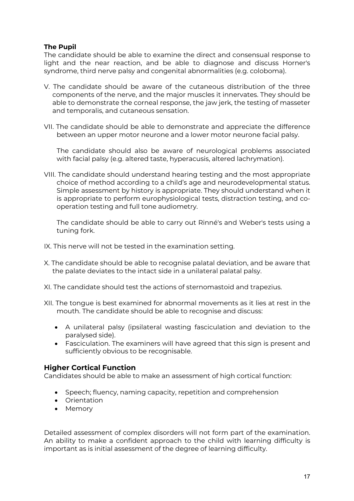# **The Pupil**

The candidate should be able to examine the direct and consensual response to light and the near reaction, and be able to diagnose and discuss Horner's syndrome, third nerve palsy and congenital abnormalities (e.g. coloboma).

- V. The candidate should be aware of the cutaneous distribution of the three components of the nerve, and the major muscles it innervates. They should be able to demonstrate the corneal response, the jaw jerk, the testing of masseter and temporalis, and cutaneous sensation.
- VII. The candidate should be able to demonstrate and appreciate the difference between an upper motor neurone and a lower motor neurone facial palsy.

The candidate should also be aware of neurological problems associated with facial palsy (e.g. altered taste, hyperacusis, altered lachrymation).

VIII. The candidate should understand hearing testing and the most appropriate choice of method according to a child's age and neurodevelopmental status. Simple assessment by history is appropriate. They should understand when it is appropriate to perform europhysiological tests, distraction testing, and cooperation testing and full tone audiometry.

The candidate should be able to carry out Rinné's and Weber's tests using a tuning fork.

- IX. This nerve will not be tested in the examination setting.
- X. The candidate should be able to recognise palatal deviation, and be aware that the palate deviates to the intact side in a unilateral palatal palsy.
- XI. The candidate should test the actions of sternomastoid and trapezius.
- XII. The tongue is best examined for abnormal movements as it lies at rest in the mouth. The candidate should be able to recognise and discuss:
	- A unilateral palsy (ipsilateral wasting fasciculation and deviation to the paralysed side).
	- Fasciculation. The examiners will have agreed that this sign is present and sufficiently obvious to be recognisable.

# **Higher Cortical Function**

Candidates should be able to make an assessment of high cortical function:

- Speech; fluency, naming capacity, repetition and comprehension
- Orientation
- Memory

Detailed assessment of complex disorders will not form part of the examination. An ability to make a confident approach to the child with learning difficulty is important as is initial assessment of the degree of learning difficulty.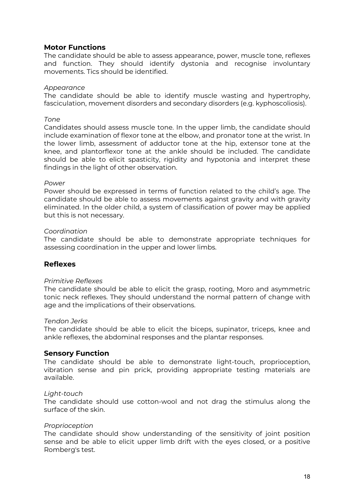# **Motor Functions**

The candidate should be able to assess appearance, power, muscle tone, reflexes and function. They should identify dystonia and recognise involuntary movements. Tics should be identified.

#### *Appearance*

The candidate should be able to identify muscle wasting and hypertrophy, fasciculation, movement disorders and secondary disorders (e.g. kyphoscoliosis).

#### *Tone*

Candidates should assess muscle tone. In the upper limb, the candidate should include examination of flexor tone at the elbow, and pronator tone at the wrist. In the lower limb, assessment of adductor tone at the hip, extensor tone at the knee, and plantorflexor tone at the ankle should be included. The candidate should be able to elicit spasticity, rigidity and hypotonia and interpret these findings in the light of other observation.

#### *Power*

Power should be expressed in terms of function related to the child's age. The candidate should be able to assess movements against gravity and with gravity eliminated. In the older child, a system of classification of power may be applied but this is not necessary.

#### *Coordination*

The candidate should be able to demonstrate appropriate techniques for assessing coordination in the upper and lower limbs.

# **Reflexes**

#### *Primitive Reflexes*

The candidate should be able to elicit the grasp, rooting, Moro and asymmetric tonic neck reflexes. They should understand the normal pattern of change with age and the implications of their observations.

#### *Tendon Jerks*

The candidate should be able to elicit the biceps, supinator, triceps, knee and ankle reflexes, the abdominal responses and the plantar responses.

# **Sensory Function**

The candidate should be able to demonstrate light-touch, proprioception, vibration sense and pin prick, providing appropriate testing materials are available.

#### *Light-touch*

The candidate should use cotton-wool and not drag the stimulus along the surface of the skin.

#### *Proprioception*

The candidate should show understanding of the sensitivity of joint position sense and be able to elicit upper limb drift with the eyes closed, or a positive Romberg's test.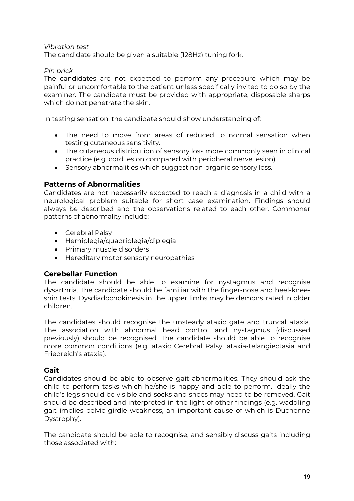#### *Vibration test*

The candidate should be given a suitable (128Hz) tuning fork.

#### *Pin prick*

The candidates are not expected to perform any procedure which may be painful or uncomfortable to the patient unless specifically invited to do so by the examiner. The candidate must be provided with appropriate, disposable sharps which do not penetrate the skin.

In testing sensation, the candidate should show understanding of:

- The need to move from areas of reduced to normal sensation when testing cutaneous sensitivity.
- The cutaneous distribution of sensory loss more commonly seen in clinical practice (e.g. cord lesion compared with peripheral nerve lesion).
- Sensory abnormalities which suggest non-organic sensory loss.

# **Patterns of Abnormalities**

Candidates are not necessarily expected to reach a diagnosis in a child with a neurological problem suitable for short case examination. Findings should always be described and the observations related to each other. Commoner patterns of abnormality include:

- Cerebral Palsy
- Hemiplegia/quadriplegia/diplegia
- Primary muscle disorders
- Hereditary motor sensory neuropathies

# **Cerebellar Function**

The candidate should be able to examine for nystagmus and recognise dysarthria. The candidate should be familiar with the finger-nose and heel-kneeshin tests. Dysdiadochokinesis in the upper limbs may be demonstrated in older children.

The candidates should recognise the unsteady ataxic gate and truncal ataxia. The association with abnormal head control and nystagmus (discussed previously) should be recognised. The candidate should be able to recognise more common conditions (e.g. ataxic Cerebral Palsy, ataxia-telangiectasia and Friedreich's ataxia).

# **Gait**

Candidates should be able to observe gait abnormalities. They should ask the child to perform tasks which he/she is happy and able to perform. Ideally the child's legs should be visible and socks and shoes may need to be removed. Gait should be described and interpreted in the light of other findings (e.g. waddling gait implies pelvic girdle weakness, an important cause of which is Duchenne Dystrophy).

The candidate should be able to recognise, and sensibly discuss gaits including those associated with: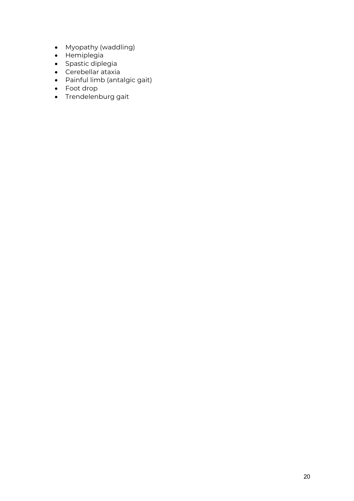- Myopathy (waddling)
- Hemiplegia
- Spastic diplegia
- Cerebellar ataxia
- Painful limb (antalgic gait)
- Foot drop
- Trendelenburg gait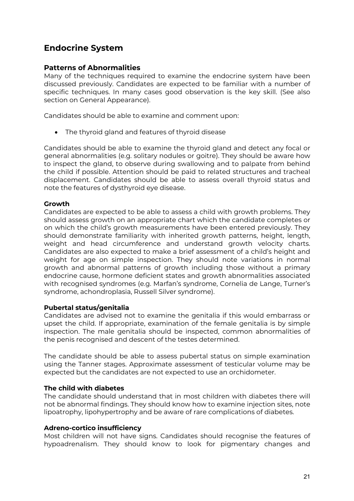# **Endocrine System**

# **Patterns of Abnormalities**

Many of the techniques required to examine the endocrine system have been discussed previously. Candidates are expected to be familiar with a number of specific techniques. In many cases good observation is the key skill. (See also section on General Appearance).

Candidates should be able to examine and comment upon:

• The thyroid gland and features of thyroid disease

Candidates should be able to examine the thyroid gland and detect any focal or general abnormalities (e.g. solitary nodules or goitre). They should be aware how to inspect the gland, to observe during swallowing and to palpate from behind the child if possible. Attention should be paid to related structures and tracheal displacement. Candidates should be able to assess overall thyroid status and note the features of dysthyroid eye disease.

# **Growth**

Candidates are expected to be able to assess a child with growth problems. They should assess growth on an appropriate chart which the candidate completes or on which the child's growth measurements have been entered previously. They should demonstrate familiarity with inherited growth patterns, height, length, weight and head circumference and understand growth velocity charts. Candidates are also expected to make a brief assessment of a child's height and weight for age on simple inspection. They should note variations in normal growth and abnormal patterns of growth including those without a primary endocrine cause, hormone deficient states and growth abnormalities associated with recognised syndromes (e.g. Marfan's syndrome, Cornelia de Lange, Turner's syndrome, achondroplasia, Russell Silver syndrome).

# **Pubertal status/genitalia**

Candidates are advised not to examine the genitalia if this would embarrass or upset the child. If appropriate, examination of the female genitalia is by simple inspection. The male genitalia should be inspected, common abnormalities of the penis recognised and descent of the testes determined.

The candidate should be able to assess pubertal status on simple examination using the Tanner stages. Approximate assessment of testicular volume may be expected but the candidates are not expected to use an orchidometer.

# **The child with diabetes**

The candidate should understand that in most children with diabetes there will not be abnormal findings. They should know how to examine injection sites, note lipoatrophy, lipohypertrophy and be aware of rare complications of diabetes.

#### **Adreno-cortico insufficiency**

Most children will not have signs. Candidates should recognise the features of hypoadrenalism. They should know to look for pigmentary changes and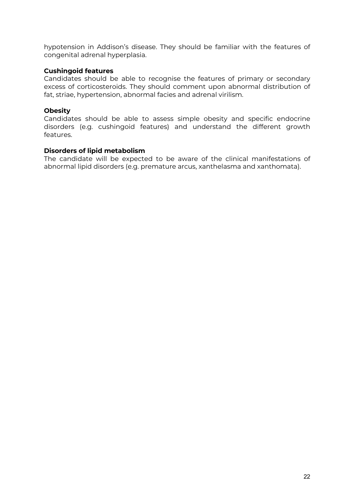hypotension in Addison's disease. They should be familiar with the features of congenital adrenal hyperplasia.

### **Cushingoid features**

Candidates should be able to recognise the features of primary or secondary excess of corticosteroids. They should comment upon abnormal distribution of fat, striae, hypertension, abnormal facies and adrenal virilism.

#### **Obesity**

Candidates should be able to assess simple obesity and specific endocrine disorders (e.g. cushingoid features) and understand the different growth features.

#### **Disorders of lipid metabolism**

The candidate will be expected to be aware of the clinical manifestations of abnormal lipid disorders (e.g. premature arcus, xanthelasma and xanthomata).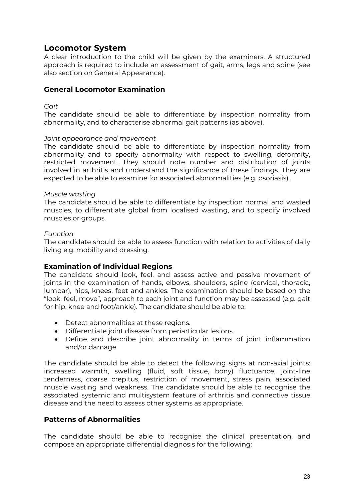# **Locomotor System**

A clear introduction to the child will be given by the examiners. A structured approach is required to include an assessment of gait, arms, legs and spine (see also section on General Appearance).

# **General Locomotor Examination**

#### *Gait*

The candidate should be able to differentiate by inspection normality from abnormality, and to characterise abnormal gait patterns (as above).

#### *Joint appearance and movement*

The candidate should be able to differentiate by inspection normality from abnormality and to specify abnormality with respect to swelling, deformity, restricted movement. They should note number and distribution of joints involved in arthritis and understand the significance of these findings. They are expected to be able to examine for associated abnormalities (e.g. psoriasis).

#### *Muscle wasting*

The candidate should be able to differentiate by inspection normal and wasted muscles, to differentiate global from localised wasting, and to specify involved muscles or groups.

#### *Function*

The candidate should be able to assess function with relation to activities of daily living e.g. mobility and dressing.

# **Examination of Individual Regions**

The candidate should look, feel, and assess active and passive movement of joints in the examination of hands, elbows, shoulders, spine (cervical, thoracic, lumbar), hips, knees, feet and ankles. The examination should be based on the "look, feel, move", approach to each joint and function may be assessed (e.g. gait for hip, knee and foot/ankle). The candidate should be able to:

- Detect abnormalities at these regions.
- Differentiate joint disease from periarticular lesions.
- Define and describe joint abnormality in terms of joint inflammation and/or damage.

The candidate should be able to detect the following signs at non-axial joints: increased warmth, swelling (fluid, soft tissue, bony) fluctuance, joint-line tenderness, coarse crepitus, restriction of movement, stress pain, associated muscle wasting and weakness. The candidate should be able to recognise the associated systemic and multisystem feature of arthritis and connective tissue disease and the need to assess other systems as appropriate.

# **Patterns of Abnormalities**

The candidate should be able to recognise the clinical presentation, and compose an appropriate differential diagnosis for the following: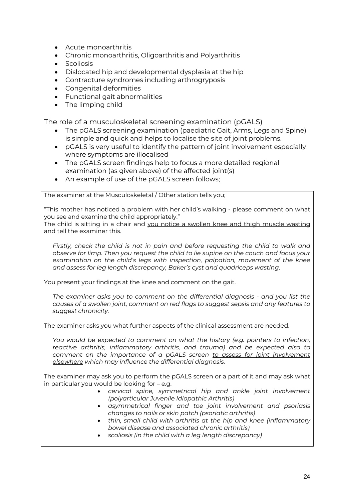- Acute monoarthritis
- Chronic monoarthritis, Oligoarthritis and Polyarthritis
- **Scoliosis**
- Dislocated hip and developmental dysplasia at the hip
- Contracture syndromes including arthrogryposis
- Congenital deformities
- Functional gait abnormalities
- The limping child

The role of a musculoskeletal screening examination (pGALS)

- The pGALS screening examination (paediatric Gait, Arms, Legs and Spine) is simple and quick and helps to localise the site of joint problems.
- pGALS is very useful to identify the pattern of joint involvement especially where symptoms are illocalised
- The pGALS screen findings help to focus a more detailed regional examination (as given above) of the affected joint(s)
- An example of use of the pGALS screen follows;

The examiner at the Musculoskeletal / Other station tells you;

"This mother has noticed a problem with her child's walking - please comment on what you see and examine the child appropriately."

The child is sitting in a chair and you notice a swollen knee and thigh muscle wasting and tell the examiner this.

*Firstly, check the child is not in pain and before requesting the child to walk and observe for limp. Then you request the child to lie supine on the couch and focus your examination on the child's legs with inspection, palpation, movement of the knee and assess for leg length discrepancy, Baker's cyst and quadriceps wasting*.

You present your findings at the knee and comment on the gait.

*The examiner asks you to comment on the differential diagnosis - and you list the causes of a swollen joint, comment on red flags to suggest sepsis and any features to suggest chronicity.* 

The examiner asks you what further aspects of the clinical assessment are needed.

*You would be expected to comment on what the history (e.g. pointers to infection, reactive arthritis, inflammatory arthritis, and trauma) and be expected also to comment on the importance of a pGALS screen to assess for joint involvement elsewhere which may influence the differential diagnosis.* 

The examiner may ask you to perform the pGALS screen or a part of it and may ask what in particular you would be looking for – e.g.

- *cervical spine, symmetrical hip and ankle joint involvement (polyarticular Juvenile Idiopathic Arthritis)*
- *asymmetrical finger and toe joint involvement and psoriasis changes to nails or skin patch (psoriatic arthritis)*
- *thin, small child with arthritis at the hip and knee (inflammatory bowel disease and associated chronic arthritis)*
- *scoliosis (in the child with a leg length discrepancy)*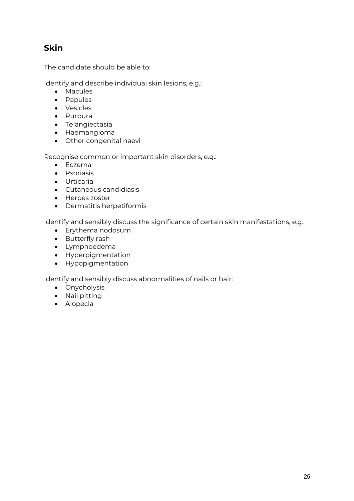# **Skin**

The candidate should be able to:

Identify and describe individual skin lesions, e.g.:

- Macules
- Papules
- Vesicles
- Purpura
- Telangiectasia
- Haemangioma
- Other congenital naevi

Recognise common or important skin disorders, e.g.:

- Eczema
- Psoriasis
- Urticaria
- Cutaneous candidiasis
- Herpes zoster
- Dermatitis herpetiformis

Identify and sensibly discuss the significance of certain skin manifestations, e.g.:

- Erythema nodosum
- Butterfly rash
- Lymphoedema
- Hyperpigmentation
- Hypopigmentation

Identify and sensibly discuss abnormalities of nails or hair:

- Onycholysis
- Nail pitting
- Alopecia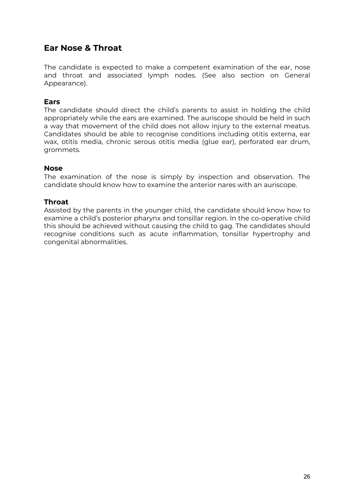# **Ear Nose & Throat**

The candidate is expected to make a competent examination of the ear, nose and throat and associated lymph nodes. (See also section on General Appearance).

# **Ears**

The candidate should direct the child's parents to assist in holding the child appropriately while the ears are examined. The auriscope should be held in such a way that movement of the child does not allow injury to the external meatus. Candidates should be able to recognise conditions including otitis externa, ear wax, otitis media, chronic serous otitis media (glue ear), perforated ear drum, grommets.

#### **Nose**

The examination of the nose is simply by inspection and observation. The candidate should know how to examine the anterior nares with an auriscope.

#### **Throat**

Assisted by the parents in the younger child, the candidate should know how to examine a child's posterior pharynx and tonsillar region. In the co-operative child this should be achieved without causing the child to gag. The candidates should recognise conditions such as acute inflammation, tonsillar hypertrophy and congenital abnormalities.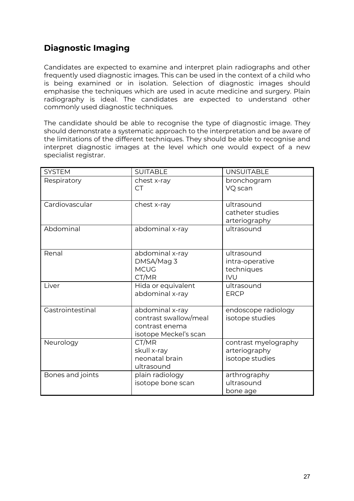# **Diagnostic Imaging**

Candidates are expected to examine and interpret plain radiographs and other frequently used diagnostic images. This can be used in the context of a child who is being examined or in isolation. Selection of diagnostic images should emphasise the techniques which are used in acute medicine and surgery. Plain radiography is ideal. The candidates are expected to understand other commonly used diagnostic techniques.

The candidate should be able to recognise the type of diagnostic image. They should demonstrate a systematic approach to the interpretation and be aware of the limitations of the different techniques. They should be able to recognise and interpret diagnostic images at the level which one would expect of a new specialist registrar.

| <b>SYSTEM</b>    | <b>SUITABLE</b>          | <b>UNSUITABLE</b>                |
|------------------|--------------------------|----------------------------------|
| Respiratory      | chest x-ray<br><b>CT</b> | bronchogram<br>VQ scan           |
|                  |                          |                                  |
| Cardiovascular   | chest x-ray              | ultrasound<br>catheter studies   |
|                  |                          | arteriography                    |
| Abdominal        | abdominal x-ray          | ultrasound                       |
|                  |                          |                                  |
| Renal            | abdominal x-ray          | ultrasound                       |
|                  | DMSA/Mag 3               | intra-operative                  |
|                  | <b>MCUG</b>              | techniques                       |
|                  | CT/MR                    | <b>IVU</b>                       |
| Liver            | Hida or equivalent       | ultrasound<br><b>ERCP</b>        |
|                  | abdominal x-ray          |                                  |
| Gastrointestinal | abdominal x-ray          | endoscope radiology              |
|                  | contrast swallow/meal    | isotope studies                  |
|                  | contrast enema           |                                  |
|                  | isotope Meckel's scan    |                                  |
| Neurology        | CT/MR<br>skull x-ray     | contrast myelography             |
|                  | neonatal brain           | arteriography<br>isotope studies |
|                  | ultrasound               |                                  |
| Bones and joints | plain radiology          | arthrography                     |
|                  | isotope bone scan        | ultrasound                       |
|                  |                          | bone age                         |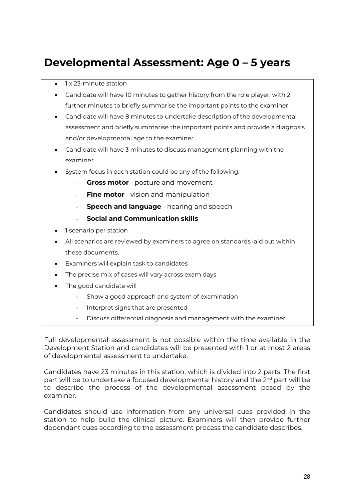# **Developmental Assessment: Age 0 – 5 years**

- 1 x 23-minute station
- Candidate will have 10 minutes to gather history from the role player, with 2 further minutes to briefly summarise the important points to the examiner
- Candidate will have 8 minutes to undertake description of the developmental assessment and briefly summarise the important points and provide a diagnosis and/or developmental age to the examiner.
- Candidate will have 3 minutes to discuss management planning with the examiner.
- System focus in each station could be any of the following:
	- **Gross motor** posture and movement
	- **Fine motor** vision and manipulation
	- **Speech and language** hearing and speech
	- **Social and Communication skills**
- 1 scenario per station
- All scenarios are reviewed by examiners to agree on standards laid out within these documents.
- Examiners will explain task to candidates
- The precise mix of cases will vary across exam days
- The good candidate will
	- Show a good approach and system of examination
	- Interpret signs that are presented
	- Discuss differential diagnosis and management with the examiner

Full developmental assessment is not possible within the time available in the Development Station and candidates will be presented with 1 or at most 2 areas of developmental assessment to undertake.

Candidates have 23 minutes in this station, which is divided into 2 parts. The first part will be to undertake a focused developmental history and the 2<sup>nd</sup> part will be to describe the process of the developmental assessment posed by the examiner.

Candidates should use information from any universal cues provided in the station to help build the clinical picture. Examiners will then provide further dependant cues according to the assessment process the candidate describes.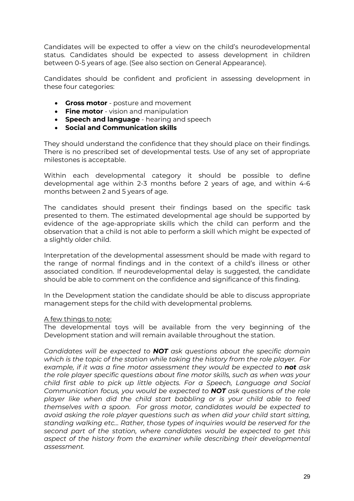Candidates will be expected to offer a view on the child's neurodevelopmental status. Candidates should be expected to assess development in children between 0-5 years of age. (See also section on General Appearance).

Candidates should be confident and proficient in assessing development in these four categories:

- **Gross motor** posture and movement
- **Fine motor** vision and manipulation
- **Speech and language** hearing and speech
- **Social and Communication skills**

They should understand the confidence that they should place on their findings. There is no prescribed set of developmental tests. Use of any set of appropriate milestones is acceptable.

Within each developmental category it should be possible to define developmental age within 2-3 months before 2 years of age, and within 4-6 months between 2 and 5 years of age.

The candidates should present their findings based on the specific task presented to them. The estimated developmental age should be supported by evidence of the age-appropriate skills which the child can perform and the observation that a child is not able to perform a skill which might be expected of a slightly older child.

Interpretation of the developmental assessment should be made with regard to the range of normal findings and in the context of a child's illness or other associated condition. If neurodevelopmental delay is suggested, the candidate should be able to comment on the confidence and significance of this finding.

In the Development station the candidate should be able to discuss appropriate management steps for the child with developmental problems.

# A few things to note:

The developmental toys will be available from the very beginning of the Development station and will remain available throughout the station.

*Candidates will be expected to NOT ask questions about the specific domain which is the topic of the station while taking the history from the role player. For example, if it was a fine motor assessment they would be expected to not ask the role player specific questions about fine motor skills, such as when was your child first able to pick up little objects. For a Speech, Language and Social Communication focus, you would be expected to NOT ask questions of the role player like when did the child start babbling or is your child able to feed themselves with a spoon. For gross motor, candidates would be expected to avoid asking the role player questions such as when did your child start sitting, standing walking etc… Rather, those types of inquiries would be reserved for the second part of the station, where candidates would be expected to get this aspect of the history from the examiner while describing their developmental assessment.*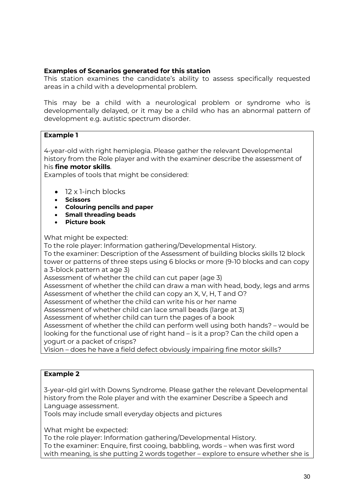# **Examples of Scenarios generated for this station**

This station examines the candidate's ability to assess specifically requested areas in a child with a developmental problem.

This may be a child with a neurological problem or syndrome who is developmentally delayed, or it may be a child who has an abnormal pattern of development e.g. autistic spectrum disorder.

# **Example 1**

4-year-old with right hemiplegia. Please gather the relevant Developmental history from the Role player and with the examiner describe the assessment of his **fine motor skills**.

Examples of tools that might be considered:

- 12 x 1-inch blocks
- **Scissors**
- **Colouring pencils and paper**
- **Small threading beads**
- **Picture book**

What might be expected:

To the role player: Information gathering/Developmental History.

To the examiner: Description of the Assessment of building blocks skills 12 block tower or patterns of three steps using 6 blocks or more (9-10 blocks and can copy a 3-block pattern at age 3)

Assessment of whether the child can cut paper (age 3)

Assessment of whether the child can draw a man with head, body, legs and arms Assessment of whether the child can copy an X, V, H, T and O?

Assessment of whether the child can write his or her name

Assessment of whether child can lace small beads (large at 3)

Assessment of whether child can turn the pages of a book

Assessment of whether the child can perform well using both hands? – would be looking for the functional use of right hand – is it a prop? Can the child open a yogurt or a packet of crisps?

Vision – does he have a field defect obviously impairing fine motor skills?

# **Example 2**

3-year-old girl with Downs Syndrome. Please gather the relevant Developmental history from the Role player and with the examiner Describe a Speech and Language assessment.

Tools may include small everyday objects and pictures

What might be expected:

To the role player: Information gathering/Developmental History. To the examiner: Enquire, first cooing, babbling, words – when was first word with meaning, is she putting 2 words together – explore to ensure whether she is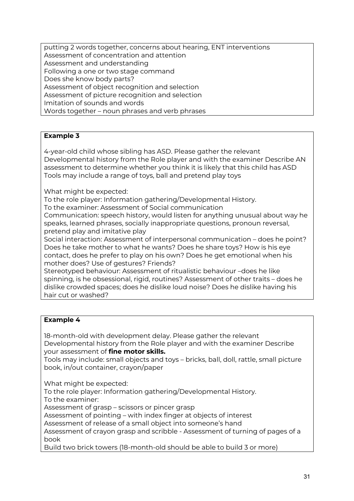putting 2 words together, concerns about hearing, ENT interventions Assessment of concentration and attention Assessment and understanding Following a one or two stage command Does she know body parts? Assessment of object recognition and selection Assessment of picture recognition and selection Imitation of sounds and words Words together – noun phrases and verb phrases

# **Example 3**

4-year-old child whose sibling has ASD. Please gather the relevant Developmental history from the Role player and with the examiner Describe AN assessment to determine whether you think it is likely that this child has ASD Tools may include a range of toys, ball and pretend play toys

What might be expected:

To the role player: Information gathering/Developmental History.

To the examiner: Assessment of Social communication

Communication: speech history, would listen for anything unusual about way he speaks, learned phrases, socially inappropriate questions, pronoun reversal, pretend play and imitative play

Social interaction: Assessment of interpersonal communication – does he point? Does he take mother to what he wants? Does he share toys? How is his eye contact, does he prefer to play on his own? Does he get emotional when his mother does? Use of gestures? Friends?

Stereotyped behaviour: Assessment of ritualistic behaviour –does he like spinning, is he obsessional, rigid, routines? Assessment of other traits – does he dislike crowded spaces; does he dislike loud noise? Does he dislike having his hair cut or washed?

# **Example 4**

18-month-old with development delay. Please gather the relevant Developmental history from the Role player and with the examiner Describe your assessment of **fine motor skills.**

Tools may include: small objects and toys – bricks, ball, doll, rattle, small picture book, in/out container, crayon/paper

What might be expected:

To the role player: Information gathering/Developmental History.

To the examiner:

Assessment of grasp – scissors or pincer grasp

Assessment of pointing – with index finger at objects of interest

Assessment of release of a small object into someone's hand

Assessment of crayon grasp and scribble - Assessment of turning of pages of a book

Build two brick towers (18-month-old should be able to build 3 or more)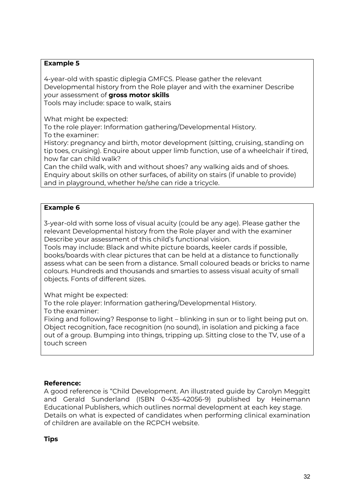# **Example 5**

4-year-old with spastic diplegia GMFCS. Please gather the relevant Developmental history from the Role player and with the examiner Describe your assessment of **gross motor skills**

Tools may include: space to walk, stairs

What might be expected:

To the role player: Information gathering/Developmental History.

To the examiner:

History: pregnancy and birth, motor development (sitting, cruising, standing on tip toes, cruising). Enquire about upper limb function, use of a wheelchair if tired, how far can child walk?

Can the child walk, with and without shoes? any walking aids and of shoes. Enquiry about skills on other surfaces, of ability on stairs (if unable to provide) and in playground, whether he/she can ride a tricycle.

# **Example 6**

3-year-old with some loss of visual acuity (could be any age). Please gather the relevant Developmental history from the Role player and with the examiner Describe your assessment of this child's functional vision.

Tools may include: Black and white picture boards, keeler cards if possible, books/boards with clear pictures that can be held at a distance to functionally assess what can be seen from a distance. Small coloured beads or bricks to name colours. Hundreds and thousands and smarties to assess visual acuity of small objects. Fonts of different sizes.

What might be expected:

To the role player: Information gathering/Developmental History.

To the examiner:

Fixing and following? Response to light – blinking in sun or to light being put on. Object recognition, face recognition (no sound), in isolation and picking a face out of a group. Bumping into things, tripping up. Sitting close to the TV, use of a touch screen

# **Reference:**

A good reference is "Child Development. An illustrated guide by Carolyn Meggitt and Gerald Sunderland (ISBN 0-435-42056-9) published by Heinemann Educational Publishers, which outlines normal development at each key stage. Details on what is expected of candidates when performing clinical examination of children are available on the RCPCH website.

**Tips**